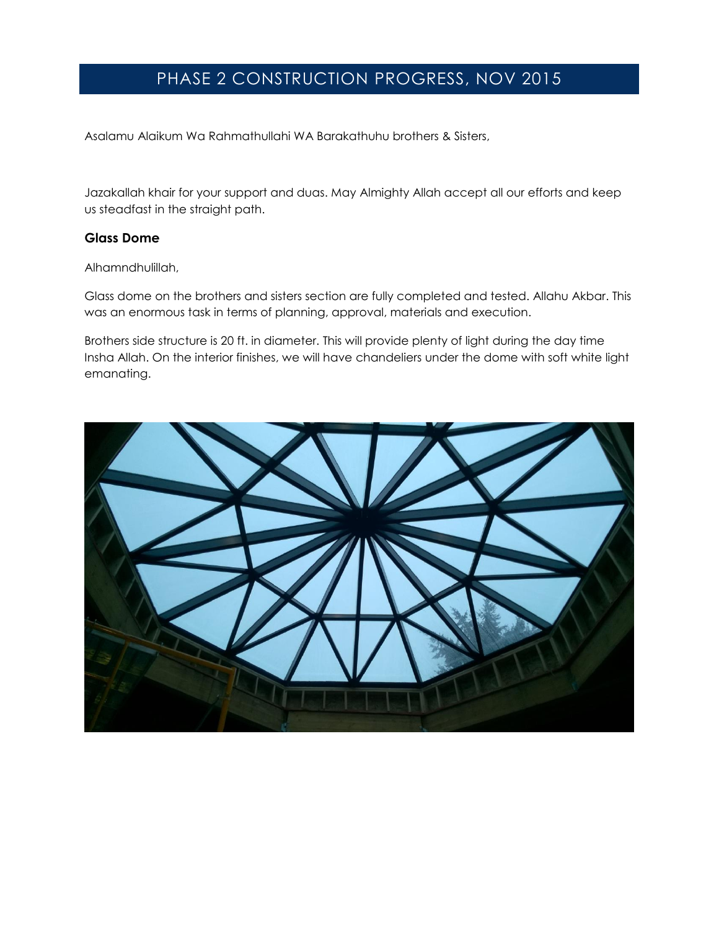# PHASE 2 CONSTRUCTION PROGRESS, NOV 2015

Asalamu Alaikum Wa Rahmathullahi WA Barakathuhu brothers & Sisters,

Jazakallah khair for your support and duas. May Almighty Allah accept all our efforts and keep us steadfast in the straight path.

## **Glass Dome**

Alhamndhulillah,

Glass dome on the brothers and sisters section are fully completed and tested. Allahu Akbar. This was an enormous task in terms of planning, approval, materials and execution.

Brothers side structure is 20 ft. in diameter. This will provide plenty of light during the day time Insha Allah. On the interior finishes, we will have chandeliers under the dome with soft white light emanating.

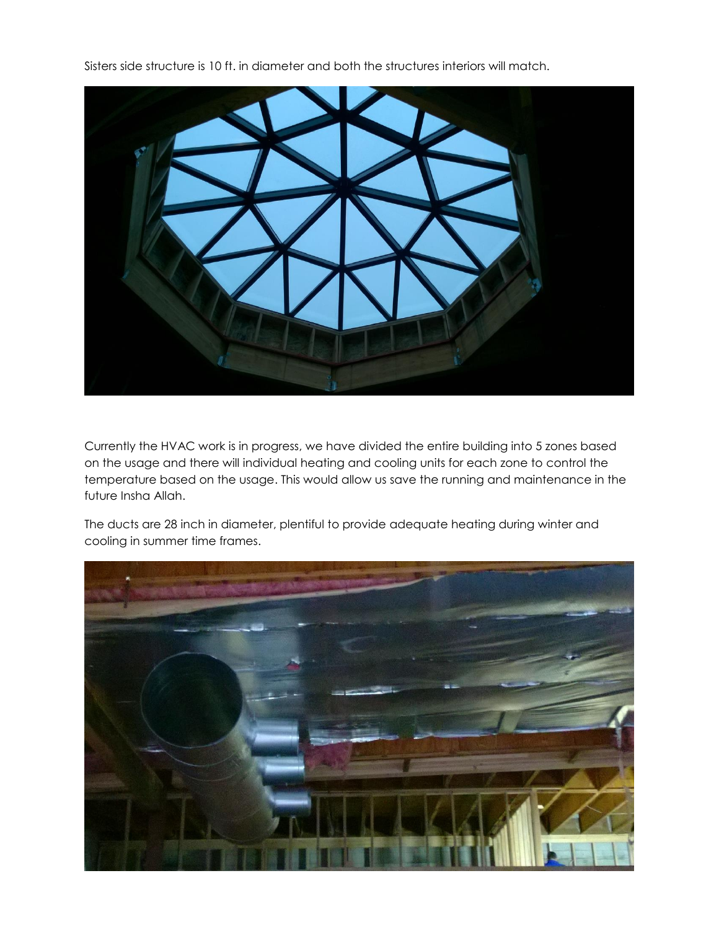Sisters side structure is 10 ft. in diameter and both the structures interiors will match.



Currently the HVAC work is in progress, we have divided the entire building into 5 zones based on the usage and there will individual heating and cooling units for each zone to control the temperature based on the usage. This would allow us save the running and maintenance in the future Insha Allah.

The ducts are 28 inch in diameter, plentiful to provide adequate heating during winter and cooling in summer time frames.

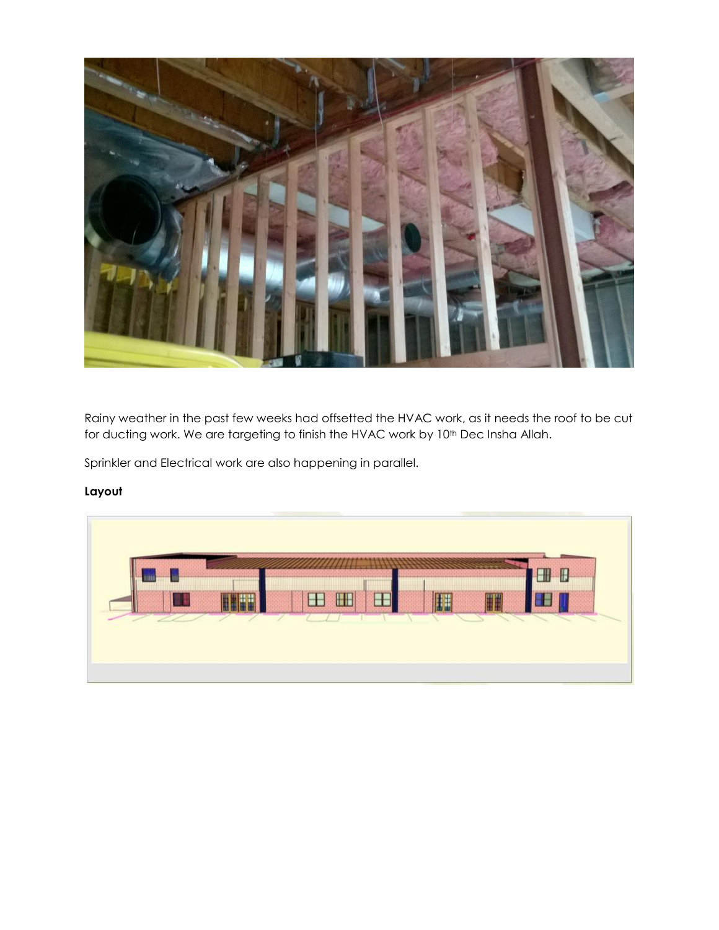

Rainy weather in the past few weeks had offsetted the HVAC work, as it needs the roof to be cut for ducting work. We are targeting to finish the HVAC work by 10<sup>th</sup> Dec Insha Allah.

Sprinkler and Electrical work are also happening in parallel.

# **Layout**